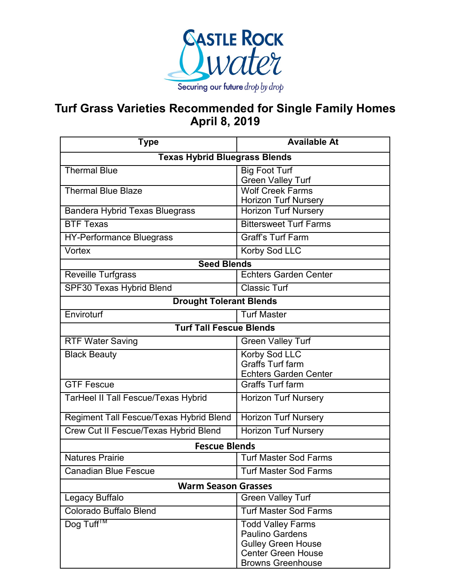

## **Turf Grass Varieties Recommended for Single Family Homes April 8, 2019**

| <b>Type</b>                                | <b>Available At</b>                                                                                                                      |  |
|--------------------------------------------|------------------------------------------------------------------------------------------------------------------------------------------|--|
| <b>Texas Hybrid Bluegrass Blends</b>       |                                                                                                                                          |  |
| <b>Thermal Blue</b>                        | <b>Big Foot Turf</b><br><b>Green Valley Turf</b>                                                                                         |  |
| <b>Thermal Blue Blaze</b>                  | <b>Wolf Creek Farms</b><br><b>Horizon Turf Nursery</b>                                                                                   |  |
| <b>Bandera Hybrid Texas Bluegrass</b>      | <b>Horizon Turf Nursery</b>                                                                                                              |  |
| <b>BTF Texas</b>                           | <b>Bittersweet Turf Farms</b>                                                                                                            |  |
| <b>HY-Performance Bluegrass</b>            | <b>Graff's Turf Farm</b>                                                                                                                 |  |
| Vortex                                     | Korby Sod LLC                                                                                                                            |  |
| <b>Seed Blends</b>                         |                                                                                                                                          |  |
| <b>Reveille Turfgrass</b>                  | <b>Echters Garden Center</b>                                                                                                             |  |
| SPF30 Texas Hybrid Blend                   | <b>Classic Turf</b>                                                                                                                      |  |
| <b>Drought Tolerant Blends</b>             |                                                                                                                                          |  |
| Enviroturf                                 | <b>Turf Master</b>                                                                                                                       |  |
| <b>Turf Tall Fescue Blends</b>             |                                                                                                                                          |  |
| <b>RTF Water Saving</b>                    | <b>Green Valley Turf</b>                                                                                                                 |  |
| <b>Black Beauty</b>                        | Korby Sod LLC<br><b>Graffs Turf farm</b><br><b>Echters Garden Center</b>                                                                 |  |
| <b>GTF Fescue</b>                          | <b>Graffs Turf farm</b>                                                                                                                  |  |
| <b>TarHeel II Tall Fescue/Texas Hybrid</b> | <b>Horizon Turf Nursery</b>                                                                                                              |  |
| Regiment Tall Fescue/Texas Hybrid Blend    | <b>Horizon Turf Nursery</b>                                                                                                              |  |
| Crew Cut II Fescue/Texas Hybrid Blend      | <b>Horizon Turf Nursery</b>                                                                                                              |  |
| <b>Fescue Blends</b>                       |                                                                                                                                          |  |
| <b>Natures Prairie</b>                     | <b>Turf Master Sod Farms</b>                                                                                                             |  |
| Canadian Blue Fescue                       | Turf Master Sod Farms                                                                                                                    |  |
| <b>Warm Season Grasses</b>                 |                                                                                                                                          |  |
| Legacy Buffalo                             | <b>Green Valley Turf</b>                                                                                                                 |  |
| Colorado Buffalo Blend                     | <b>Turf Master Sod Farms</b>                                                                                                             |  |
| Dog Tuff <sup>™</sup>                      | <b>Todd Valley Farms</b><br><b>Paulino Gardens</b><br><b>Gulley Green House</b><br><b>Center Green House</b><br><b>Browns Greenhouse</b> |  |